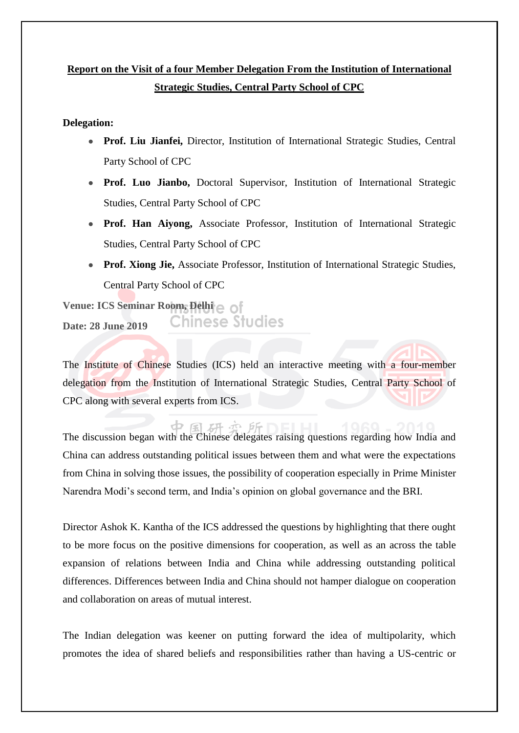## **Report on the Visit of a four Member Delegation From the Institution of International Strategic Studies, Central Party School of CPC**

## **Delegation:**

- **Prof. Liu Jianfei,** Director, Institution of International Strategic Studies, Central Party School of CPC
- Prof. Luo Jianbo, Doctoral Supervisor, Institution of International Strategic Studies, Central Party School of CPC
- **Prof. Han Aiyong,** Associate Professor, Institution of International Strategic Studies, Central Party School of CPC
- Prof. Xiong Jie, Associate Professor, Institution of International Strategic Studies, Central Party School of CPC

**Venue: ICS Seminar Room, Delhi** Chinese Studies **Date: 28 June 2019**

dz.

The Institute of Chinese Studies (ICS) held an interactive meeting with a four-member delegation from the Institution of International Strategic Studies, Central Party School of CPC along with several experts from ICS.

研办所 The discussion began with the Chinese delegates raising questions regarding how India and China can address outstanding political issues between them and what were the expectations from China in solving those issues, the possibility of cooperation especially in Prime Minister Narendra Modi's second term, and India's opinion on global governance and the BRI.

Director Ashok K. Kantha of the ICS addressed the questions by highlighting that there ought to be more focus on the positive dimensions for cooperation, as well as an across the table expansion of relations between India and China while addressing outstanding political differences. Differences between India and China should not hamper dialogue on cooperation and collaboration on areas of mutual interest.

The Indian delegation was keener on putting forward the idea of multipolarity, which promotes the idea of shared beliefs and responsibilities rather than having a US-centric or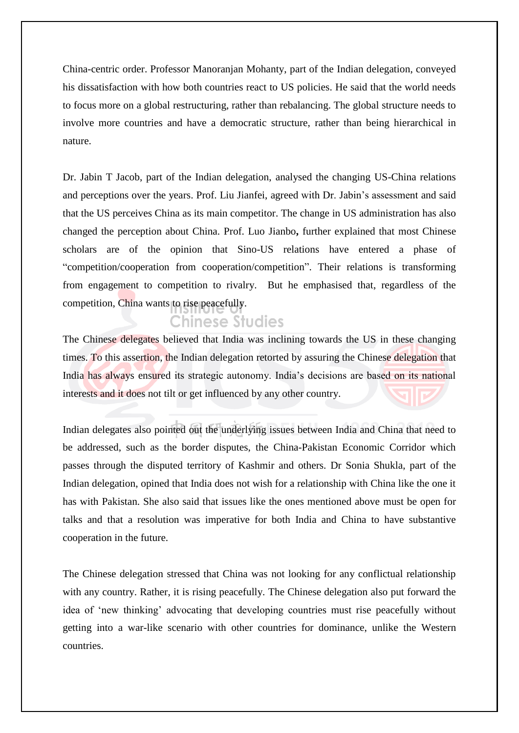China-centric order. Professor Manoranjan Mohanty, part of the Indian delegation, conveyed his dissatisfaction with how both countries react to US policies. He said that the world needs to focus more on a global restructuring, rather than rebalancing. The global structure needs to involve more countries and have a democratic structure, rather than being hierarchical in nature.

Dr. Jabin T Jacob, part of the Indian delegation, analysed the changing US-China relations and perceptions over the years. Prof. Liu Jianfei, agreed with Dr. Jabin's assessment and said that the US perceives China as its main competitor. The change in US administration has also changed the perception about China. Prof. Luo Jianbo**,** further explained that most Chinese scholars are of the opinion that Sino-US relations have entered a phase of "competition/cooperation from cooperation/competition". Their relations is transforming from engagement to competition to rivalry. But he emphasised that, regardless of the competition, China wants to rise peacefully.

## **Chinese Studies**

The Chinese delegates believed that India was inclining towards the US in these changing times. To this assertion, the Indian delegation retorted by assuring the Chinese delegation that India has always ensured its strategic autonomy. India's decisions are based on its national interests and it does not tilt or get influenced by any other country.

Indian delegates also pointed out the underlying issues between India and China that need to be addressed, such as the border disputes, the China-Pakistan Economic Corridor which passes through the disputed territory of Kashmir and others. Dr Sonia Shukla, part of the Indian delegation, opined that India does not wish for a relationship with China like the one it has with Pakistan. She also said that issues like the ones mentioned above must be open for talks and that a resolution was imperative for both India and China to have substantive cooperation in the future.

The Chinese delegation stressed that China was not looking for any conflictual relationship with any country. Rather, it is rising peacefully. The Chinese delegation also put forward the idea of 'new thinking' advocating that developing countries must rise peacefully without getting into a war-like scenario with other countries for dominance, unlike the Western countries.